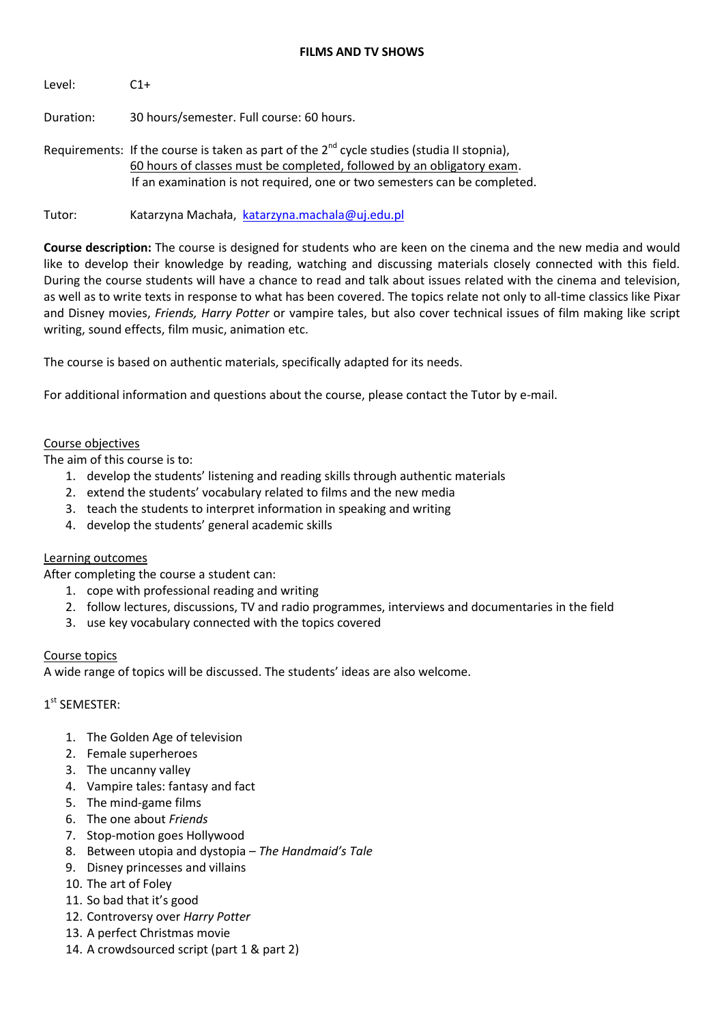### **FILMS AND TV SHOWS**

Level: C1+

Duration: 30 hours/semester. Full course: 60 hours.

Requirements: If the course is taken as part of the  $2^{nd}$  cycle studies (studia II stopnia), 60 hours of classes must be completed, followed by an obligatory exam. If an examination is not required, one or two semesters can be completed.

Tutor: Katarzyna Machała, [katarzyna.machala@uj.edu.pl](mailto:katarzyna.machala@uj.edu.pl)

**Course description:** The course is designed for students who are keen on the cinema and the new media and would like to develop their knowledge by reading, watching and discussing materials closely connected with this field. During the course students will have a chance to read and talk about issues related with the cinema and television, as well as to write texts in response to what has been covered. The topics relate not only to all-time classics like Pixar and Disney movies, *Friends, Harry Potter* or vampire tales, but also cover technical issues of film making like script writing, sound effects, film music, animation etc.

The course is based on authentic materials, specifically adapted for its needs.

For additional information and questions about the course, please contact the Tutor by e-mail.

### Course objectives

The aim of this course is to:

- 1. develop the students' listening and reading skills through authentic materials
- 2. extend the students' vocabulary related to films and the new media
- 3. teach the students to interpret information in speaking and writing
- 4. develop the students' general academic skills

#### Learning outcomes

After completing the course a student can:

- 1. cope with professional reading and writing
- 2. follow lectures, discussions, TV and radio programmes, interviews and documentaries in the field
- 3. use key vocabulary connected with the topics covered

#### Course topics

A wide range of topics will be discussed. The students' ideas are also welcome.

## 1 st SEMESTER:

- 1. The Golden Age of television
- 2. Female superheroes
- 3. The uncanny valley
- 4. Vampire tales: fantasy and fact
- 5. The mind-game films
- 6. The one about *Friends*
- 7. Stop-motion goes Hollywood
- 8. Between utopia and dystopia *The Handmaid's Tale*
- 9. Disney princesses and villains
- 10. The art of Foley
- 11. So bad that it's good
- 12. Controversy over *Harry Potter*
- 13. A perfect Christmas movie
- 14. A crowdsourced script (part 1 & part 2)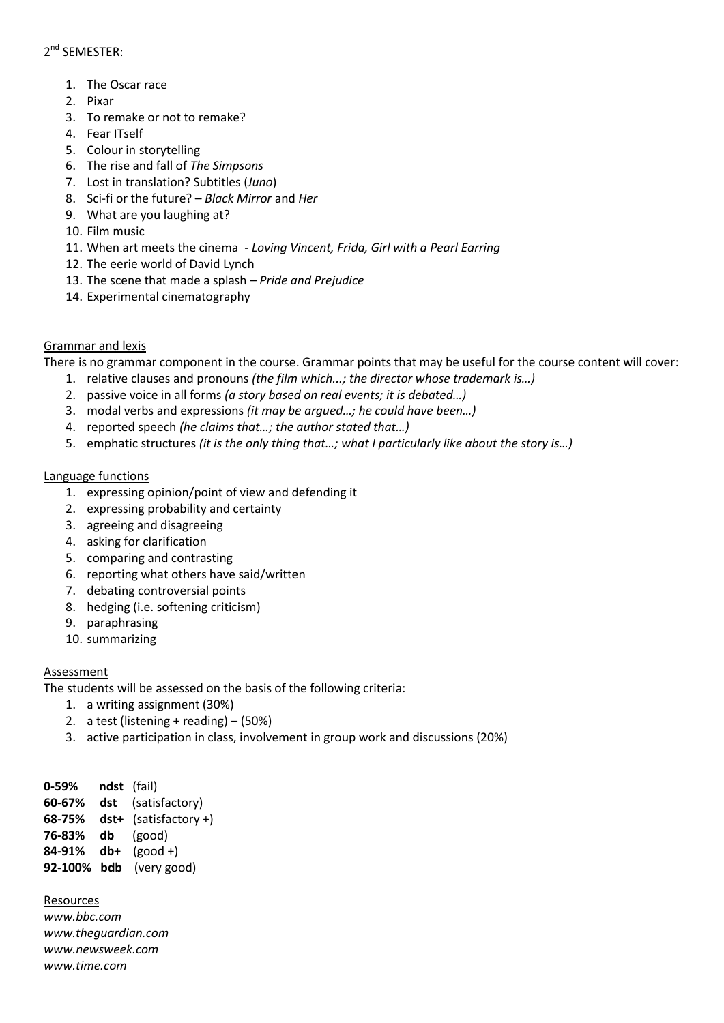# 2<sup>nd</sup> SEMESTER:

- 1. The Oscar race
- 2. Pixar
- 3. To remake or not to remake?
- 4. Fear ITself
- 5. Colour in storytelling
- 6. The rise and fall of *The Simpsons*
- 7. Lost in translation? Subtitles (*Juno*)
- 8. Sci-fi or the future? *Black Mirror* and *Her*
- 9. What are you laughing at?
- 10. Film music
- 11. When art meets the cinema *Loving Vincent, Frida, Girl with a Pearl Earring*
- 12. The eerie world of David Lynch
- 13. The scene that made a splash *Pride and Prejudice*
- 14. Experimental cinematography

# Grammar and lexis

There is no grammar component in the course. Grammar points that may be useful for the course content will cover:

- 1. relative clauses and pronouns *(the film which...; the director whose trademark is…)*
- 2. passive voice in all forms *(a story based on real events; it is debated…)*
- 3. modal verbs and expressions *(it may be argued…; he could have been…)*
- 4. reported speech *(he claims that…; the author stated that…)*
- 5. emphatic structures *(it is the only thing that…; what I particularly like about the story is…)*

## Language functions

- 1. expressing opinion/point of view and defending it
- 2. expressing probability and certainty
- 3. agreeing and disagreeing
- 4. asking for clarification
- 5. comparing and contrasting
- 6. reporting what others have said/written
- 7. debating controversial points
- 8. hedging (i.e. softening criticism)
- 9. paraphrasing
- 10. summarizing

## Assessment

The students will be assessed on the basis of the following criteria:

- 1. a writing assignment (30%)
- 2. a test (listening + reading) (50%)
- 3. active participation in class, involvement in group work and discussions (20%)

**0-59% ndst** (fail) **60-67% dst** (satisfactory) **68-75% dst+** (satisfactory +) **76-83% db** (good) **84-91% db+** (good +) **92-100% bdb** (very good)

## Resources

*[www.bbc.com](http://www.bbc.com/) [www.theguardian.com](http://www.theguardian.com/) [www.newsweek.com](http://www.newsweek.com/) [www.time.com](http://www.time.com/)*